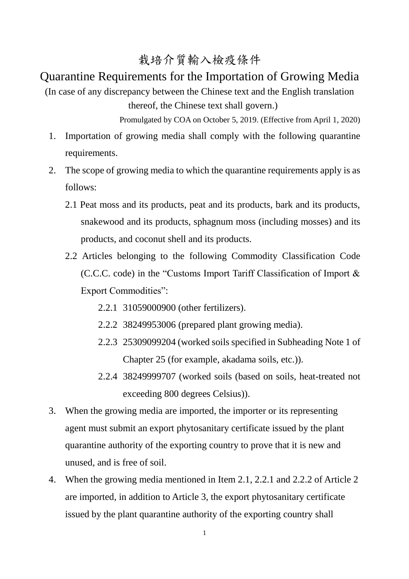## 栽培介質輸入檢疫條件

## Quarantine Requirements for the Importation of Growing Media

(In case of any discrepancy between the Chinese text and the English translation thereof, the Chinese text shall govern.)

Promulgated by COA on October 5, 2019. (Effective from April 1, 2020)

- 1. Importation of growing media shall comply with the following quarantine requirements.
- 2. The scope of growing media to which the quarantine requirements apply is as follows:
	- 2.1 Peat moss and its products, peat and its products, bark and its products, snakewood and its products, sphagnum moss (including mosses) and its products, and coconut shell and its products.
	- 2.2 Articles belonging to the following Commodity Classification Code (C.C.C. code) in the "Customs Import Tariff Classification of Import & Export Commodities":
		- 2.2.1 31059000900 (other fertilizers).
		- 2.2.2 38249953006 (prepared plant growing media).
		- 2.2.3 25309099204 (worked soils specified in Subheading Note 1 of Chapter 25 (for example, akadama soils, etc.)).
		- 2.2.4 38249999707 (worked soils (based on soils, heat-treated not exceeding 800 degrees Celsius)).
- 3. When the growing media are imported, the importer or its representing agent must submit an export phytosanitary certificate issued by the plant quarantine authority of the exporting country to prove that it is new and unused, and is free of soil.
- 4. When the growing media mentioned in Item 2.1, 2.2.1 and 2.2.2 of Article 2 are imported, in addition to Article 3, the export phytosanitary certificate issued by the plant quarantine authority of the exporting country shall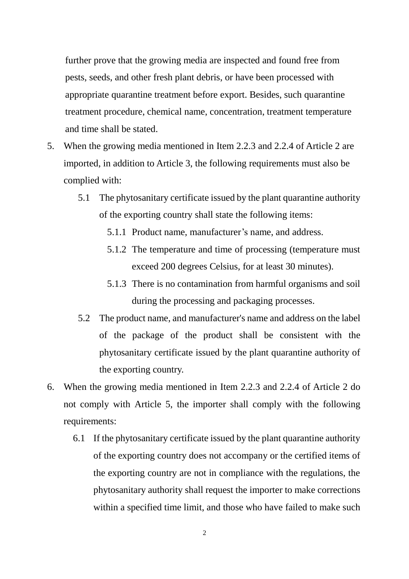further prove that the growing media are inspected and found free from pests, seeds, and other fresh plant debris, or have been processed with appropriate quarantine treatment before export. Besides, such quarantine treatment procedure, chemical name, concentration, treatment temperature and time shall be stated.

- 5. When the growing media mentioned in Item 2.2.3 and 2.2.4 of Article 2 are imported, in addition to Article 3, the following requirements must also be complied with:
	- 5.1 The phytosanitary certificate issued by the plant quarantine authority of the exporting country shall state the following items:
		- 5.1.1 Product name, manufacturer's name, and address.
		- 5.1.2 The temperature and time of processing (temperature must exceed 200 degrees Celsius, for at least 30 minutes).
		- 5.1.3 There is no contamination from harmful organisms and soil during the processing and packaging processes.
	- 5.2 The product name, and manufacturer's name and address on the label of the package of the product shall be consistent with the phytosanitary certificate issued by the plant quarantine authority of the exporting country.
- 6. When the growing media mentioned in Item 2.2.3 and 2.2.4 of Article 2 do not comply with Article 5, the importer shall comply with the following requirements:
	- 6.1 If the phytosanitary certificate issued by the plant quarantine authority of the exporting country does not accompany or the certified items of the exporting country are not in compliance with the regulations, the phytosanitary authority shall request the importer to make corrections within a specified time limit, and those who have failed to make such